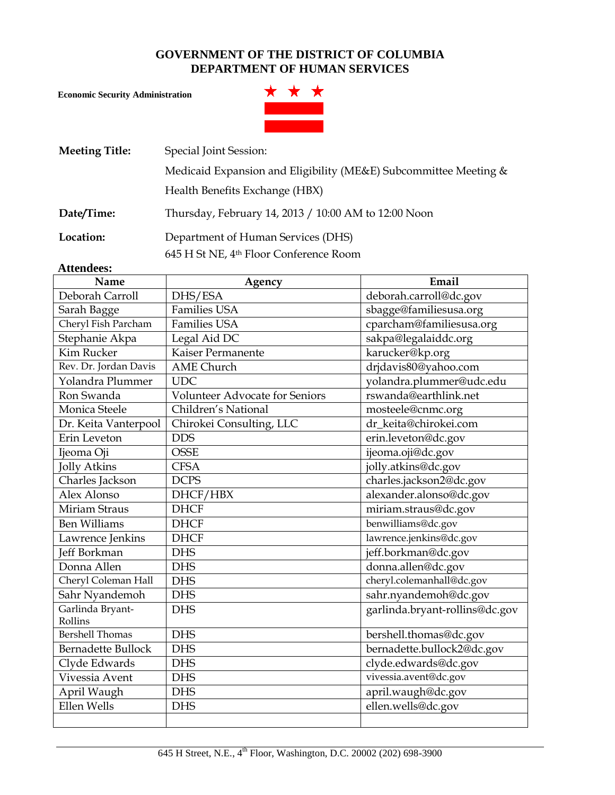#### **GOVERNMENT OF THE DISTRICT OF COLUMBIA DEPARTMENT OF HUMAN SERVICES**

**Economic Security Administration**



| <b>Meeting Title:</b> | Special Joint Session:                                                       |
|-----------------------|------------------------------------------------------------------------------|
|                       | Medicaid Expansion and Eligibility (ME&E) Subcommittee Meeting &             |
|                       | Health Benefits Exchange (HBX)                                               |
| Date/Time:            | Thursday, February 14, 2013 / 10:00 AM to 12:00 Noon                         |
| Location:             | Department of Human Services (DHS)<br>645 H St NE, 4th Floor Conference Room |

#### **Attendees:**

| Name                      | Agency                                | Email                          |  |
|---------------------------|---------------------------------------|--------------------------------|--|
| Deborah Carroll           | DHS/ESA                               | deborah.carroll@dc.gov         |  |
| Sarah Bagge               | <b>Families USA</b>                   | sbagge@familiesusa.org         |  |
| Cheryl Fish Parcham       | <b>Families USA</b>                   | cparcham@familiesusa.org       |  |
| Stephanie Akpa            | Legal Aid DC                          | sakpa@legalaiddc.org           |  |
| <b>Kim Rucker</b>         | Kaiser Permanente                     | karucker@kp.org                |  |
| Rev. Dr. Jordan Davis     | <b>AME</b> Church                     | drjdavis80@yahoo.com           |  |
| Yolandra Plummer          | <b>UDC</b>                            | yolandra.plummer@udc.edu       |  |
| Ron Swanda                | <b>Volunteer Advocate for Seniors</b> | rswanda@earthlink.net          |  |
| Monica Steele             | Children's National                   | mosteele@cnmc.org              |  |
| Dr. Keita Vanterpool      | Chirokei Consulting, LLC              | dr_keita@chirokei.com          |  |
| Erin Leveton              | <b>DDS</b>                            | erin.leveton@dc.gov            |  |
| Ijeoma Oji                | <b>OSSE</b>                           | ijeoma.oji@dc.gov              |  |
| <b>Jolly Atkins</b>       | <b>CFSA</b>                           | jolly.atkins@dc.gov            |  |
| Charles Jackson           | <b>DCPS</b>                           | charles.jackson2@dc.gov        |  |
| Alex Alonso               | DHCF/HBX                              | alexander.alonso@dc.gov        |  |
| <b>Miriam Straus</b>      | <b>DHCF</b>                           | miriam.straus@dc.gov           |  |
| <b>Ben Williams</b>       | <b>DHCF</b>                           | benwilliams@dc.gov             |  |
| Lawrence Jenkins          | <b>DHCF</b>                           | lawrence.jenkins@dc.gov        |  |
| Jeff Borkman              | <b>DHS</b>                            | jeff.borkman@dc.gov            |  |
| Donna Allen               | <b>DHS</b>                            | donna.allen@dc.gov             |  |
| Cheryl Coleman Hall       | <b>DHS</b>                            | cheryl.colemanhall@dc.gov      |  |
| Sahr Nyandemoh            | <b>DHS</b>                            | sahr.nyandemoh@dc.gov          |  |
| Garlinda Bryant-          | <b>DHS</b>                            | garlinda.bryant-rollins@dc.gov |  |
| Rollins                   |                                       |                                |  |
| <b>Bershell Thomas</b>    | <b>DHS</b>                            | bershell.thomas@dc.gov         |  |
| <b>Bernadette Bullock</b> | <b>DHS</b>                            | bernadette.bullock2@dc.gov     |  |
| Clyde Edwards             | <b>DHS</b>                            | clyde.edwards@dc.gov           |  |
| Vivessia Avent            | <b>DHS</b>                            | vivessia.avent@dc.gov          |  |
| April Waugh               | <b>DHS</b>                            | april.waugh@dc.gov             |  |
| Ellen Wells               | <b>DHS</b>                            | ellen.wells@dc.gov             |  |
|                           |                                       |                                |  |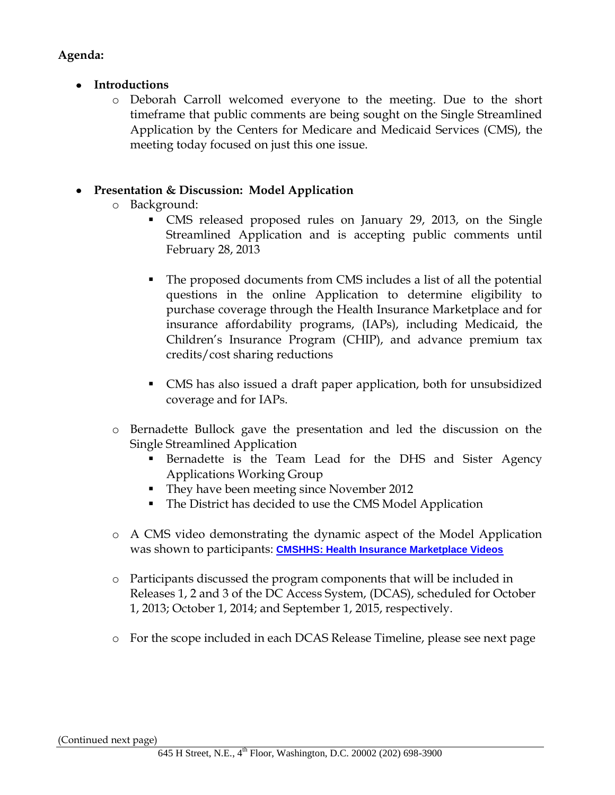### **Agenda:**

- **Introductions**
	- o Deborah Carroll welcomed everyone to the meeting. Due to the short timeframe that public comments are being sought on the Single Streamlined Application by the Centers for Medicare and Medicaid Services (CMS), the meeting today focused on just this one issue.

## **Presentation & Discussion: Model Application**

- o Background:
	- CMS released proposed rules on January 29, 2013, on the Single Streamlined Application and is accepting public comments until February 28, 2013
	- The proposed documents from CMS includes a list of all the potential questions in the online Application to determine eligibility to purchase coverage through the Health Insurance Marketplace and for insurance affordability programs, (IAPs), including Medicaid, the Children's Insurance Program (CHIP), and advance premium tax credits/cost sharing reductions
	- CMS has also issued a draft paper application, both for unsubsidized coverage and for IAPs.
- o Bernadette Bullock gave the presentation and led the discussion on the Single Streamlined Application
	- **Bernadette is the Team Lead for the DHS and Sister Agency** Applications Working Group
	- They have been meeting since November 2012
	- The District has decided to use the CMS Model Application
- o A CMS video demonstrating the dynamic aspect of the Model Application was shown to participants: **[CMSHHS: Health Insurance Marketplace Videos](http://www.youtube.com/playlist?list=PLaV7m2-zFKpgZDNCz7rZ3Xx7q2cDmpAm7)**
- o Participants discussed the program components that will be included in Releases 1, 2 and 3 of the DC Access System, (DCAS), scheduled for October 1, 2013; October 1, 2014; and September 1, 2015, respectively.
- o For the scope included in each DCAS Release Timeline, please see next page

#### (Continued next page)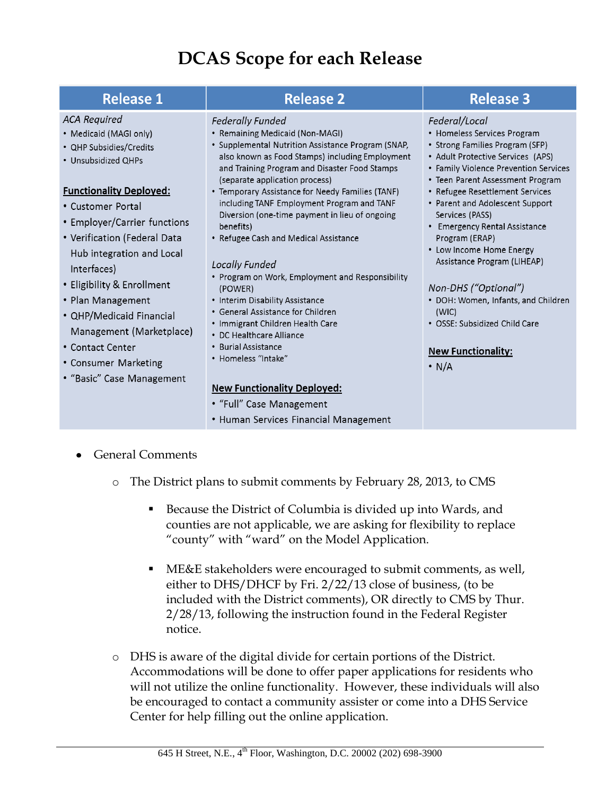# **DCAS Scope for each Release**

| <b>Release 1</b>                                                                                                                                                                                                                                                                                                                                                                                                                                       | <b>Release 2</b>                                                                                                                                                                                                                                                                                                                                                                                                                                                                                                                                                                                                                                                                                                                                                                                          | <b>Release 3</b>                                                                                                                                                                                                                                                                                                                                                                                                                                                                                                                                              |
|--------------------------------------------------------------------------------------------------------------------------------------------------------------------------------------------------------------------------------------------------------------------------------------------------------------------------------------------------------------------------------------------------------------------------------------------------------|-----------------------------------------------------------------------------------------------------------------------------------------------------------------------------------------------------------------------------------------------------------------------------------------------------------------------------------------------------------------------------------------------------------------------------------------------------------------------------------------------------------------------------------------------------------------------------------------------------------------------------------------------------------------------------------------------------------------------------------------------------------------------------------------------------------|---------------------------------------------------------------------------------------------------------------------------------------------------------------------------------------------------------------------------------------------------------------------------------------------------------------------------------------------------------------------------------------------------------------------------------------------------------------------------------------------------------------------------------------------------------------|
| <b>ACA Required</b><br>• Medicaid (MAGI only)<br>• QHP Subsidies/Credits<br>• Unsubsidized QHPs<br><b>Functionality Deployed:</b><br>• Customer Portal<br>• Employer/Carrier functions<br>• Verification (Federal Data<br>Hub integration and Local<br>Interfaces)<br>• Eligibility & Enrollment<br>• Plan Management<br>• QHP/Medicaid Financial<br>Management (Marketplace)<br>• Contact Center<br>• Consumer Marketing<br>• "Basic" Case Management | <b>Federally Funded</b><br>• Remaining Medicaid (Non-MAGI)<br>• Supplemental Nutrition Assistance Program (SNAP,<br>also known as Food Stamps) including Employment<br>and Training Program and Disaster Food Stamps<br>(separate application process)<br>• Temporary Assistance for Needy Families (TANF)<br>including TANF Employment Program and TANF<br>Diversion (one-time payment in lieu of ongoing<br>benefits)<br>• Refugee Cash and Medical Assistance<br>Locally Funded<br>• Program on Work, Employment and Responsibility<br>(POWER)<br>• Interim Disability Assistance<br>• General Assistance for Children<br>• Immigrant Children Health Care<br>• DC Healthcare Alliance<br>• Burial Assistance<br>• Homeless "Intake"<br><b>New Functionality Deployed:</b><br>• "Full" Case Management | Federal/Local<br>• Homeless Services Program<br>• Strong Families Program (SFP)<br>• Adult Protective Services (APS)<br>• Family Violence Prevention Services<br>• Teen Parent Assessment Program<br>• Refugee Resettlement Services<br>• Parent and Adolescent Support<br>Services (PASS)<br>• Emergency Rental Assistance<br>Program (ERAP)<br>• Low Income Home Energy<br>Assistance Program (LIHEAP)<br>Non-DHS ("Optional")<br>• DOH: Women, Infants, and Children<br>(WIC)<br>• OSSE: Subsidized Child Care<br><b>New Functionality:</b><br>$\cdot$ N/A |
|                                                                                                                                                                                                                                                                                                                                                                                                                                                        | • Human Services Financial Management                                                                                                                                                                                                                                                                                                                                                                                                                                                                                                                                                                                                                                                                                                                                                                     |                                                                                                                                                                                                                                                                                                                                                                                                                                                                                                                                                               |

- General Comments
	- o The District plans to submit comments by February 28, 2013, to CMS
		- Because the District of Columbia is divided up into Wards, and counties are not applicable, we are asking for flexibility to replace "county" with "ward" on the Model Application.
		- ME&E stakeholders were encouraged to submit comments, as well, either to DHS/DHCF by Fri. 2/22/13 close of business, (to be included with the District comments), OR directly to CMS by Thur. 2/28/13, following the instruction found in the Federal Register notice.
	- o DHS is aware of the digital divide for certain portions of the District. Accommodations will be done to offer paper applications for residents who will not utilize the online functionality. However, these individuals will also be encouraged to contact a community assister or come into a DHS Service Center for help filling out the online application.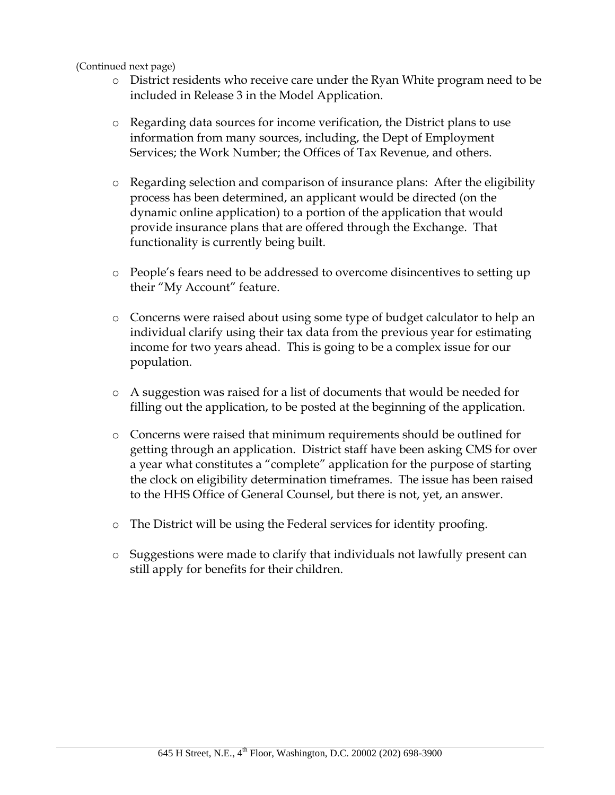#### (Continued next page)

- o District residents who receive care under the Ryan White program need to be included in Release 3 in the Model Application.
- o Regarding data sources for income verification, the District plans to use information from many sources, including, the Dept of Employment Services; the Work Number; the Offices of Tax Revenue, and others.
- o Regarding selection and comparison of insurance plans: After the eligibility process has been determined, an applicant would be directed (on the dynamic online application) to a portion of the application that would provide insurance plans that are offered through the Exchange. That functionality is currently being built.
- o People's fears need to be addressed to overcome disincentives to setting up their "My Account" feature.
- o Concerns were raised about using some type of budget calculator to help an individual clarify using their tax data from the previous year for estimating income for two years ahead. This is going to be a complex issue for our population.
- o A suggestion was raised for a list of documents that would be needed for filling out the application, to be posted at the beginning of the application.
- o Concerns were raised that minimum requirements should be outlined for getting through an application. District staff have been asking CMS for over a year what constitutes a "complete" application for the purpose of starting the clock on eligibility determination timeframes. The issue has been raised to the HHS Office of General Counsel, but there is not, yet, an answer.
- o The District will be using the Federal services for identity proofing.
- o Suggestions were made to clarify that individuals not lawfully present can still apply for benefits for their children.